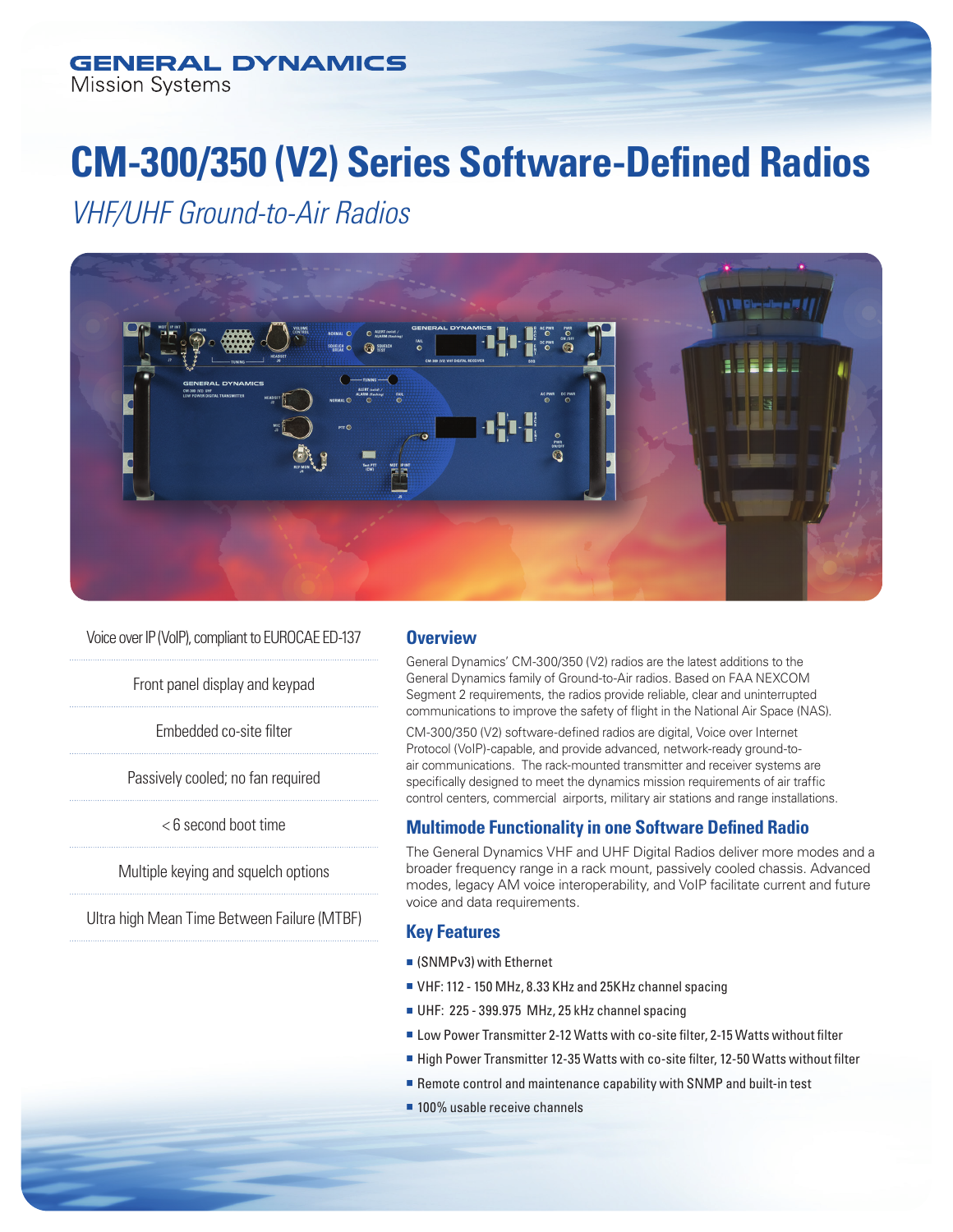# **CM-300/350 (V2) Series Software-Defined Radios**

*VHF/UHF Ground-to-Air Radios* 



Voice over IP (VoIP), compliant to EUROCAE ED-137

Front panel display and keypad

Embedded co-site filter

Passively cooled; no fan required

< 6 second boot time

Multiple keying and squelch options

Ultra high Mean Time Between Failure (MTBF)

# **Overview**

General Dynamics' CM-300/350 (V2) radios are the latest additions to the General Dynamics family of Ground-to-Air radios. Based on FAA NEXCOM Segment 2 requirements, the radios provide reliable, clear and uninterrupted communications to improve the safety of flight in the National Air Space (NAS).

CM-300/350 (V2) software-defined radios are digital, Voice over Internet Protocol (VoIP)-capable, and provide advanced, network-ready ground-toair communications. The rack-mounted transmitter and receiver systems are specifically designed to meet the dynamics mission requirements of air traffic control centers, commercial airports, military air stations and range installations.

# **Multimode Functionality in one Software Defined Radio**

The General Dynamics VHF and UHF Digital Radios deliver more modes and a broader frequency range in a rack mount, passively cooled chassis. Advanced modes, legacy AM voice interoperability, and VoIP facilitate current and future voice and data requirements.

# **Key Features**

- $\blacksquare$  (SNMPv3) with Ethernet
- <sup>n</sup> VHF: 112 150 MHz, 8.33 KHz and 25KHz channel spacing
- UHF: 225 399.975 MHz, 25 kHz channel spacing
- Low Power Transmitter 2-12 Watts with co-site filter, 2-15 Watts without filter
- High Power Transmitter 12-35 Watts with co-site filter, 12-50 Watts without filter
- $\blacksquare$  Remote control and maintenance capability with SNMP and built-in test
- $\blacksquare$  100% usable receive channels